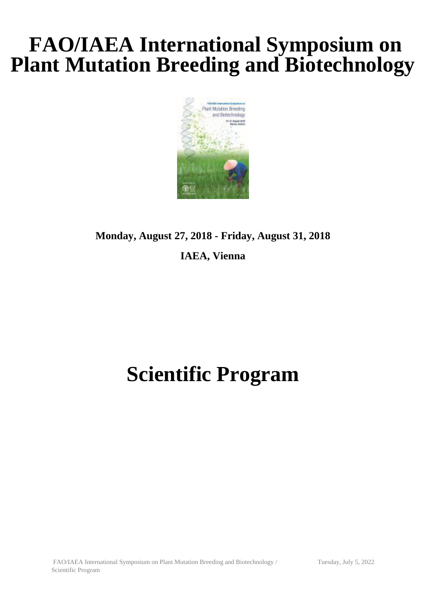# **FAO/IAEA International Symposium on Plant Mutation Breeding and Biotechnology**



# **Monday, August 27, 2018 - Friday, August 31, 2018**

#### **IAEA, Vienna**

# **Scientific Program**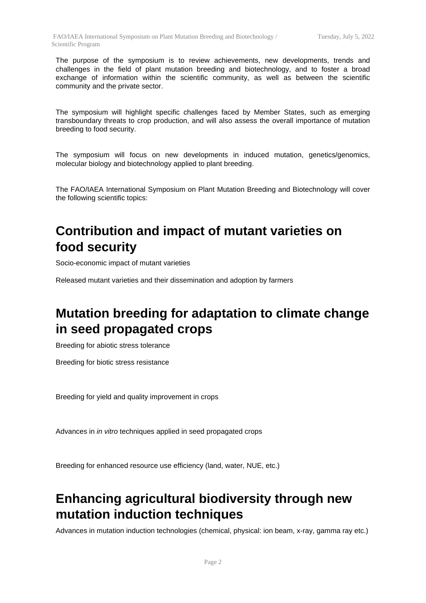The purpose of the symposium is to review achievements, new developments, trends and challenges in the field of plant mutation breeding and biotechnology, and to foster a broad exchange of information within the scientific community, as well as between the scientific community and the private sector.

The symposium will highlight specific challenges faced by Member States, such as emerging transboundary threats to crop production, and will also assess the overall importance of mutation breeding to food security.

The symposium will focus on new developments in induced mutation, genetics/genomics, molecular biology and biotechnology applied to plant breeding.

The FAO/IAEA International Symposium on Plant Mutation Breeding and Biotechnology will cover the following scientific topics:

### **Contribution and impact of mutant varieties on food security**

Socio-economic impact of mutant varieties

Released mutant varieties and their dissemination and adoption by farmers

## **Mutation breeding for adaptation to climate change in seed propagated crops**

Breeding for abiotic stress tolerance

Breeding for biotic stress resistance

Breeding for yield and quality improvement in crops

Advances in *in vitro* techniques applied in seed propagated crops

Breeding for enhanced resource use efficiency (land, water, NUE, etc.)

### **Enhancing agricultural biodiversity through new mutation induction techniques**

Advances in mutation induction technologies (chemical, physical: ion beam, x-ray, gamma ray etc.)